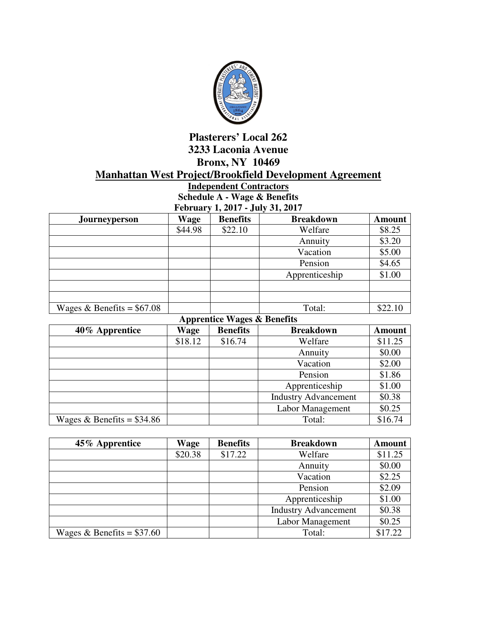

## **Plasterers' Local 262 3233 Laconia Avenue Bronx, NY 10469 Manhattan West Project/Brookfield Development Agreement**

**Independent Contractors Schedule A - Wage & Benefits February 1, 2017 - July 31, 2017** 

| <b>Journeyperson</b>        | <b>Wage</b> | <b>Benefits</b> | <b>Breakdown</b> | <b>Amount</b> |
|-----------------------------|-------------|-----------------|------------------|---------------|
|                             | \$44.98     | \$22.10         | Welfare          | \$8.25        |
|                             |             |                 | Annuity          | \$3.20        |
|                             |             |                 | Vacation         | \$5.00        |
|                             |             |                 | Pension          | \$4.65        |
|                             |             |                 | Apprenticeship   | \$1.00        |
|                             |             |                 |                  |               |
|                             |             |                 |                  |               |
| Wages & Benefits = $$67.08$ |             |                 | Total:           | \$22.10       |

**Apprentice Wages & Benefits** 

| 40% Apprentice              | Wage    | <b>Benefits</b> | <b>Breakdown</b>            | <b>Amount</b> |
|-----------------------------|---------|-----------------|-----------------------------|---------------|
|                             | \$18.12 | \$16.74         | Welfare                     | \$11.25       |
|                             |         |                 | Annuity                     | \$0.00        |
|                             |         |                 | Vacation                    | \$2.00        |
|                             |         |                 | Pension                     | \$1.86        |
|                             |         |                 | Apprenticeship              | \$1.00        |
|                             |         |                 | <b>Industry Advancement</b> | \$0.38        |
|                             |         |                 | Labor Management            | \$0.25        |
| Wages & Benefits = $$34.86$ |         |                 | Total:                      | \$16.74       |

| 45% Apprentice              | Wage    | <b>Benefits</b> | <b>Breakdown</b>            | <b>Amount</b> |
|-----------------------------|---------|-----------------|-----------------------------|---------------|
|                             | \$20.38 | \$17.22         | Welfare                     | \$11.25       |
|                             |         |                 | Annuity                     | \$0.00        |
|                             |         |                 | Vacation                    | \$2.25        |
|                             |         |                 | Pension                     | \$2.09        |
|                             |         |                 | Apprenticeship              | \$1.00        |
|                             |         |                 | <b>Industry Advancement</b> | \$0.38        |
|                             |         |                 | Labor Management            | \$0.25        |
| Wages & Benefits = $$37.60$ |         |                 | Total:                      | \$17.22       |